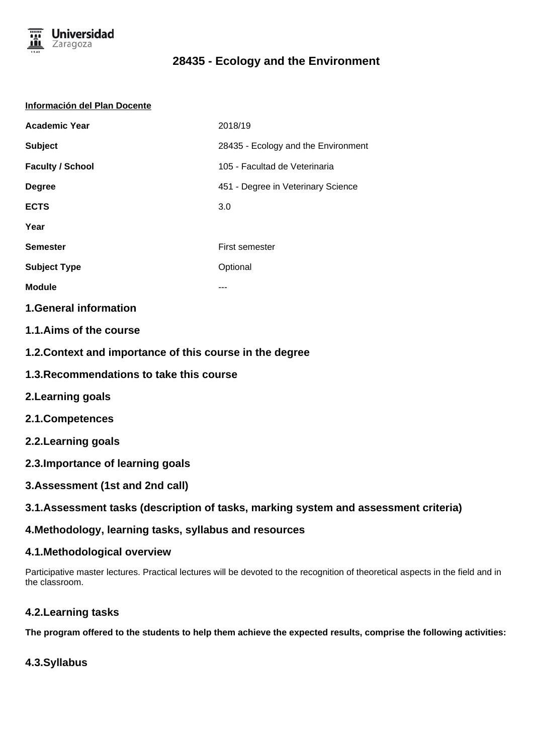

#### **Información del Plan Docente**

| <b>Academic Year</b>    | 2018/19                             |
|-------------------------|-------------------------------------|
| <b>Subject</b>          | 28435 - Ecology and the Environment |
| <b>Faculty / School</b> | 105 - Facultad de Veterinaria       |
| <b>Degree</b>           | 451 - Degree in Veterinary Science  |
| <b>ECTS</b>             | 3.0                                 |
| Year                    |                                     |
| <b>Semester</b>         | First semester                      |
| <b>Subject Type</b>     | Optional                            |
| <b>Module</b>           | ---                                 |
|                         |                                     |

### **1.General information**

- **1.1.Aims of the course**
- **1.2.Context and importance of this course in the degree**
- **1.3.Recommendations to take this course**
- **2.Learning goals**
- **2.1.Competences**
- **2.2.Learning goals**
- **2.3.Importance of learning goals**
- **3.Assessment (1st and 2nd call)**
- **3.1.Assessment tasks (description of tasks, marking system and assessment criteria)**

# **4.Methodology, learning tasks, syllabus and resources**

### **4.1.Methodological overview**

Participative master lectures. Practical lectures will be devoted to the recognition of theoretical aspects in the field and in the classroom.

# **4.2.Learning tasks**

**The program offered to the students to help them achieve the expected results, comprise the following activities:**

# **4.3.Syllabus**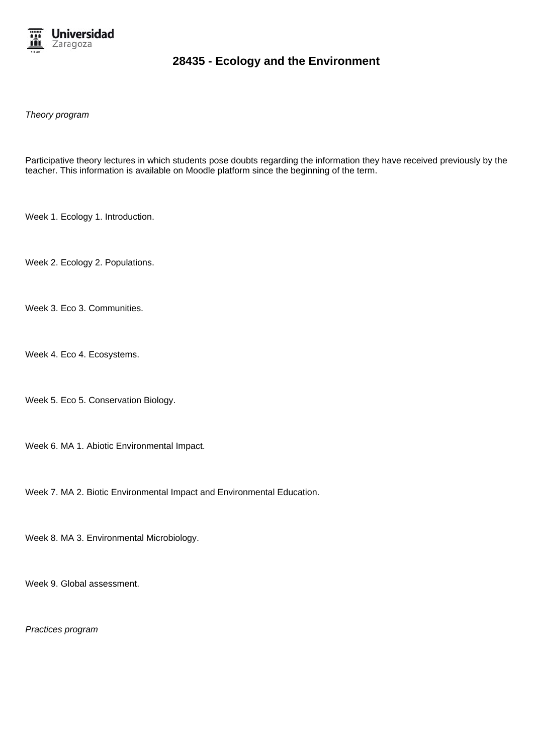

Theory program

Participative theory lectures in which students pose doubts regarding the information they have received previously by the teacher. This information is available on Moodle platform since the beginning of the term.

Week 1. Ecology 1. Introduction.

Week 2. Ecology 2. Populations.

Week 3. Eco 3. Communities.

Week 4. Eco 4. Ecosystems.

Week 5. Eco 5. Conservation Biology.

Week 6. MA 1. Abiotic Environmental Impact.

Week 7. MA 2. Biotic Environmental Impact and Environmental Education.

Week 8. MA 3. Environmental Microbiology.

Week 9. Global assessment.

Practices program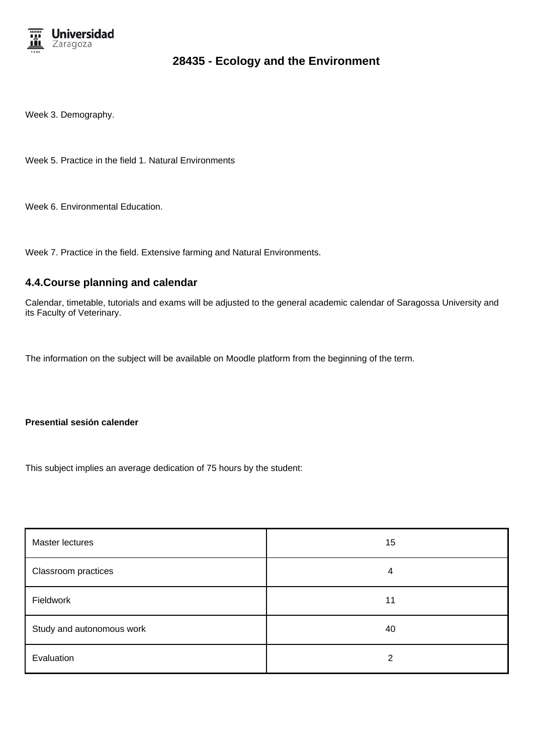

Week 3. Demography.

Week 5. Practice in the field 1. Natural Environments

Week 6. Environmental Education.

Week 7. Practice in the field. Extensive farming and Natural Environments.

#### **4.4.Course planning and calendar**

Calendar, timetable, tutorials and exams will be adjusted to the general academic calendar of Saragossa University and its Faculty of Veterinary.

The information on the subject will be available on Moodle platform from the beginning of the term.

#### **Presential sesión calender**

This subject implies an average dedication of 75 hours by the student:

| Master lectures           | 15 |
|---------------------------|----|
| Classroom practices       | 4  |
| Fieldwork                 | 11 |
| Study and autonomous work | 40 |
| Evaluation                | 2  |